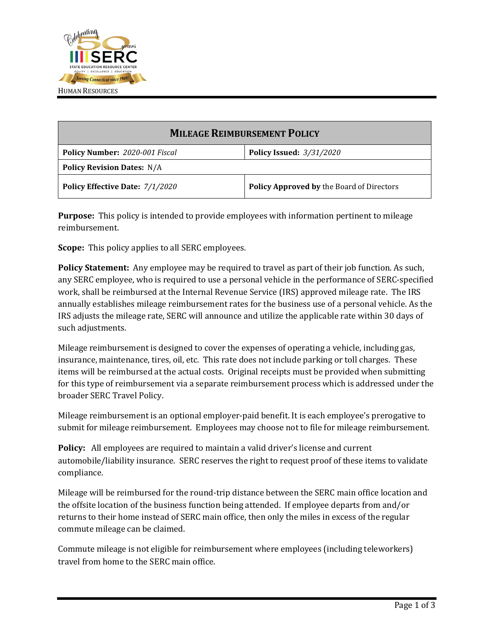

| <b>MILEAGE REIMBURSEMENT POLICY</b> |                                                  |
|-------------------------------------|--------------------------------------------------|
| Policy Number: 2020-001 Fiscal      | <b>Policy Issued: 3/31/2020</b>                  |
| <b>Policy Revision Dates: N/A</b>   |                                                  |
| Policy Effective Date: 7/1/2020     | <b>Policy Approved by the Board of Directors</b> |

**Purpose:** This policy is intended to provide employees with information pertinent to mileage reimbursement.

**Scope:** This policy applies to all SERC employees.

**Policy Statement:** Any employee may be required to travel as part of their job function. As such, any SERC employee, who is required to use a personal vehicle in the performance of SERC-specified work, shall be reimbursed at the Internal Revenue Service (IRS) approved mileage rate. The IRS annually establishes mileage reimbursement rates for the business use of a personal vehicle. As the IRS adjusts the mileage rate, SERC will announce and utilize the applicable rate within 30 days of such adjustments.

Mileage reimbursement is designed to cover the expenses of operating a vehicle, including gas, insurance, maintenance, tires, oil, etc. This rate does not include parking or toll charges. These items will be reimbursed at the actual costs. Original receipts must be provided when submitting for this type of reimbursement via a separate reimbursement process which is addressed under the broader SERC Travel Policy.

Mileage reimbursement is an optional employer-paid benefit. It is each employee's prerogative to submit for mileage reimbursement. Employees may choose not to file for mileage reimbursement.

**Policy:** All employees are required to maintain a valid driver's license and current automobile/liability insurance. SERC reserves the right to request proof of these items to validate compliance.

Mileage will be reimbursed for the round-trip distance between the SERC main office location and the offsite location of the business function being attended. If employee departs from and/or returns to their home instead of SERC main office, then only the miles in excess of the regular commute mileage can be claimed.

Commute mileage is not eligible for reimbursement where employees (including teleworkers) travel from home to the SERC main office.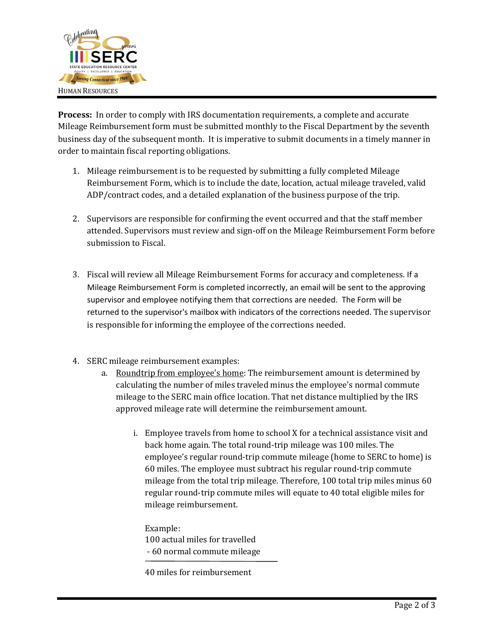

**Process:** In order to comply with IRS documentation requirements, a complete and accurate Mileage Reimbursement form must be submitted monthly to the Fiscal Department by the seventh business day of the subsequent month. It is imperative to submit documents in a timely manner in order to maintain fiscal reporting obligations.

- 1. Mileage reimbursement is to be requested by submitting a fully completed Mileage Reimbursement Form, which is to include the date, location, actual mileage traveled, valid ADP/contract codes, and a detailed explanation of the business purpose of the trip.
- 2. Supervisors are responsible for confirming the event occurred and that the staff member attended. Supervisors must review and sign-off on the Mileage Reimbursement Form before submission to Fiscal.
- 3. Fiscal will review all Mileage Reimbursement Forms for accuracy and completeness. If a Mileage Reimbursement Form is completed incorrectly, an email will be sent to the approving supervisor and employee notifying them that corrections are needed. The Form will be returned to the supervisor's mailbox with indicators of the corrections needed. The supervisor is responsible for informing the employee of the corrections needed.
- 4. SERC mileage reimbursement examples:
	- a. Roundtrip from employee's home: The reimbursement amount is determined by calculating the number of miles traveled minus the employee's normal commute mileage to the SERC main office location. That net distance multiplied by the IRS approved mileage rate will determine the reimbursement amount.
		- i. Employee travels from home to school X for a technical assistance visit and back home again. The total round-trip mileage was 100 miles. The employee's regular round-trip commute mileage (home to SERC to home) is 60 miles. The employee must subtract his regular round-trip commute mileage from the total trip mileage. Therefore, 100 total trip miles minus 60 regular round-trip commute miles will equate to 40 total eligible miles for mileage reimbursement.

Example: 100 actual miles for travelled - 60 normal commute mileage

40 miles for reimbursement